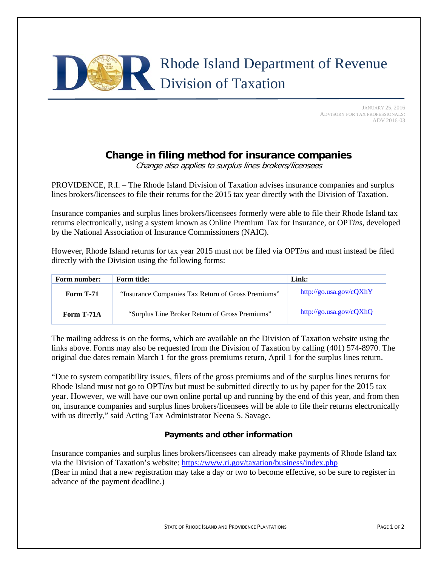# Rhode Island Department of Revenue Division of Taxation

 JANUARY 25, 2016 ADVISORY FOR TAX PROFESSIONALS: ADV 2016-03

# **Change in filing method for insurance companies**

Change also applies to surplus lines brokers/licensees

PROVIDENCE, R.I. – The Rhode Island Division of Taxation advises insurance companies and surplus lines brokers/licensees to file their returns for the 2015 tax year directly with the Division of Taxation.

Insurance companies and surplus lines brokers/licensees formerly were able to file their Rhode Island tax returns electronically, using a system known as Online Premium Tax for Insurance, or OPT*ins*, developed by the National Association of Insurance Commissioners (NAIC).

However, Rhode Island returns for tax year 2015 must not be filed via OPT*ins* and must instead be filed directly with the Division using the following forms:

| Form number:     | <b>Form title:</b>                                 | Link:                   |
|------------------|----------------------------------------------------|-------------------------|
| <b>Form T-71</b> | "Insurance Companies Tax Return of Gross Premiums" | http://go.usa.gov/cQXhY |
| Form T-71A       | "Surplus Line Broker Return of Gross Premiums"     | http://go.usa.gov/cQXhQ |

The mailing address is on the forms, which are available on the Division of Taxation website using the links above. Forms may also be requested from the Division of Taxation by calling (401) 574-8970. The original due dates remain March 1 for the gross premiums return, April 1 for the surplus lines return.

"Due to system compatibility issues, filers of the gross premiums and of the surplus lines returns for Rhode Island must not go to OPT*ins* but must be submitted directly to us by paper for the 2015 tax year. However, we will have our own online portal up and running by the end of this year, and from then on, insurance companies and surplus lines brokers/licensees will be able to file their returns electronically with us directly," said Acting Tax Administrator Neena S. Savage.

## **Payments and other information**

Insurance companies and surplus lines brokers/licensees can already make payments of Rhode Island tax via the Division of Taxation's website: https://www.ri.gov/taxation/business/index.php (Bear in mind that a new registration may take a day or two to become effective, so be sure to register in advance of the payment deadline.)